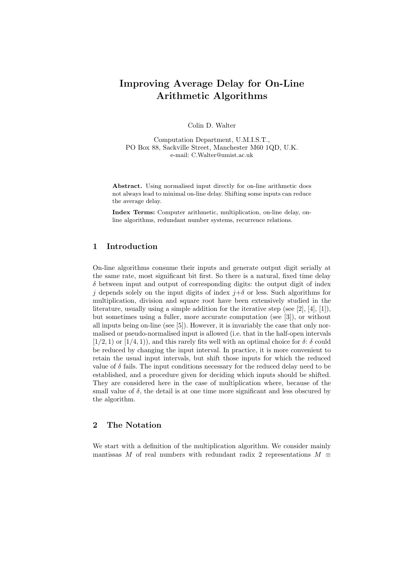# Improving Average Delay for On-Line Arithmetic Algorithms

Colin D. Walter

Computation Department, U.M.I.S.T., PO Box 88, Sackville Street, Manchester M60 1QD, U.K. e-mail: C.Walter@umist.ac.uk

Abstract. Using normalised input directly for on-line arithmetic does not always lead to minimal on-line delay. Shifting some inputs can reduce the average delay.

Index Terms: Computer arithmetic, multiplication, on-line delay, online algorithms, redundant number systems, recurrence relations.

#### 1 Introduction

On-line algorithms consume their inputs and generate output digit serially at the same rate, most significant bit first. So there is a natural, fixed time delay  $\delta$  between input and output of corresponding digits: the output digit of index j depends solely on the input digits of index  $j+\delta$  or less. Such algorithms for multiplication, division and square root have been extensively studied in the literature, usually using a simple addition for the iterative step (see [2], [4], [1]), but sometimes using a fuller, more accurate computation (see [3]), or without all inputs being on-line (see [5]). However, it is invariably the case that only normalised or pseudo-normalised input is allowed (i.e. that in the half-open intervals  $[1/2, 1)$  or  $[1/4, 1)$ , and this rarely fits well with an optimal choice for  $\delta$ :  $\delta$  could be reduced by changing the input interval. In practice, it is more convenient to retain the usual input intervals, but shift those inputs for which the reduced value of  $\delta$  fails. The input conditions necessary for the reduced delay need to be established, and a procedure given for deciding which inputs should be shifted. They are considered here in the case of multiplication where, because of the small value of  $\delta$ , the detail is at one time more significant and less obscured by the algorithm.

## 2 The Notation

We start with a definition of the multiplication algorithm. We consider mainly mantissas M of real numbers with redundant radix 2 representations  $M \equiv$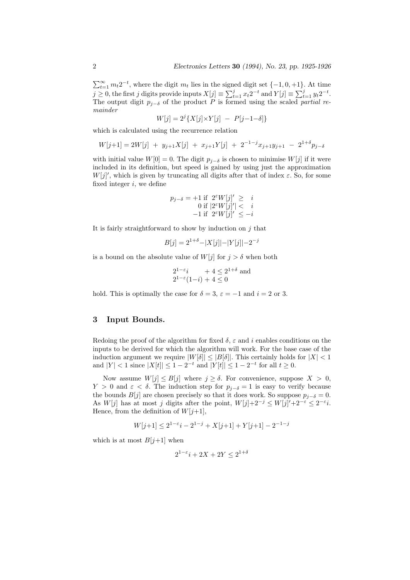$\sum_{t=1}^{\infty} m_t 2^{-t}$ , where the digit  $m_t$  lies in the signed digit set  $\{-1, 0, +1\}$ . At time  $j \geq 0$ , the first j digits provide inputs  $X[j] \equiv \sum_{t=1}^{j} x_t 2^{-t}$  and  $Y[j] \equiv \sum_{t=1}^{j} y_t 2^{-t}$ . The output digit  $p_{j-\delta}$  of the product P is formed using the scaled partial remainder

$$
W[j] = 2^{j} \{ X[j] \times Y[j] - P[j-1-\delta] \}
$$

which is calculated using the recurrence relation

$$
W[j+1] = 2W[j] + y_{j+1}X[j] + x_{j+1}Y[j] + 2^{-1-j}x_{j+1}y_{j+1} - 2^{1+\delta}p_{j-\delta}
$$

with initial value  $W[0] = 0$ . The digit  $p_{i-\delta}$  is chosen to minimise  $W[j]$  if it were included in its definition, but speed is gained by using just the approximation  $W[j]'$ , which is given by truncating all digits after that of index  $\varepsilon$ . So, for some fixed integer  $i$ , we define

$$
p_{j-\delta} = +1 \text{ if } 2^{\varepsilon} W[j]' \geq i
$$
  
0 if  $|2^{\varepsilon} W[j]' < i$   
-1 if  $2^{\varepsilon} W[j]' \leq -i$ 

It is fairly straightforward to show by induction on  $j$  that

$$
B[j] = 2^{1+\delta} - |X[j]| - |Y[j]| - 2^{-j}
$$

is a bound on the absolute value of  $W[j]$  for  $j > \delta$  when both

$$
2^{1-\varepsilon}i + 4 \le 2^{1+\delta}
$$
 and  

$$
2^{1-\varepsilon}(1-i) + 4 \le 0
$$

hold. This is optimally the case for  $\delta = 3$ ,  $\varepsilon = -1$  and  $i = 2$  or 3.

## 3 Input Bounds.

Redoing the proof of the algorithm for fixed  $\delta$ ,  $\varepsilon$  and i enables conditions on the inputs to be derived for which the algorithm will work. For the base case of the induction argument we require  $|W[\delta]| \leq |B[\delta]|$ . This certainly holds for  $|X| < 1$ and  $|Y| < 1$  since  $|X[t]| \leq 1 - 2^{-t}$  and  $|Y[t]| \leq 1 - 2^{-t}$  for all  $t \geq 0$ .

Now assume  $W[j] \leq B[j]$  where  $j \geq \delta$ . For convenience, suppose  $X > 0$ , Y > 0 and  $\varepsilon < \delta$ . The induction step for  $p_{j-\delta} = 1$  is easy to verify because the bounds  $B[j]$  are chosen precisely so that it does work. So suppose  $p_{j-\delta} = 0$ . As W[j] has at most j digits after the point,  $W[j]+2^{-j} \leq W[j]'+2^{-\varepsilon} \leq 2^{-\varepsilon}i$ . Hence, from the definition of  $W[j+1]$ ,

$$
W[j+1] \le 2^{1-\varepsilon}i - 2^{1-j} + X[j+1] + Y[j+1] - 2^{-1-j}
$$

which is at most  $B[i+1]$  when

$$
2^{1-\varepsilon}i + 2X + 2Y \le 2^{1+\delta}
$$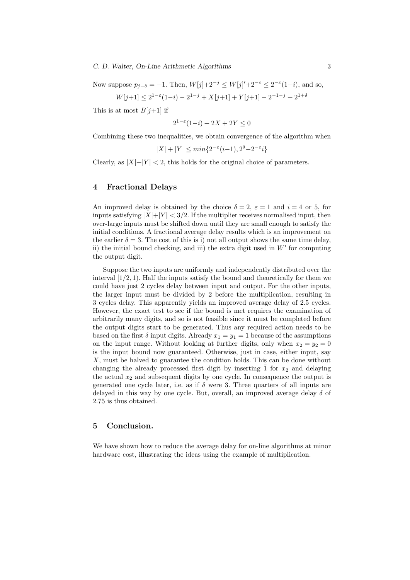Now suppose  $p_{j-\delta} = -1$ . Then,  $W[j]+2^{-j} \leq W[j]'+2^{-\epsilon} \leq 2^{-\epsilon}(1-i)$ , and so,

 $W[j+1] \leq 2^{1-\epsilon}(1-i) - 2^{1-j} + X[j+1] + Y[j+1] - 2^{-1-j} + 2^{1+\delta}$ 

This is at most  $B[j+1]$  if

 $2^{1-\epsilon}(1-i) + 2X + 2Y \leq 0$ 

Combining these two inequalities, we obtain convergence of the algorithm when

$$
|X| + |Y| \le \min\{2^{-\varepsilon}(i-1), 2^{\delta} - 2^{-\varepsilon}i\}
$$

Clearly, as  $|X|+|Y| < 2$ , this holds for the original choice of parameters.

#### 4 Fractional Delays

An improved delay is obtained by the choice  $\delta = 2$ ,  $\varepsilon = 1$  and  $i = 4$  or 5, for inputs satisfying  $|X|+|Y| < 3/2$ . If the multiplier receives normalised input, then over-large inputs must be shifted down until they are small enough to satisfy the initial conditions. A fractional average delay results which is an improvement on the earlier  $\delta = 3$ . The cost of this is i) not all output shows the same time delay, ii) the initial bound checking, and iii) the extra digit used in  $W'$  for computing the output digit.

Suppose the two inputs are uniformly and independently distributed over the interval  $[1/2, 1)$ . Half the inputs satisfy the bound and theoretically for them we could have just 2 cycles delay between input and output. For the other inputs, the larger input must be divided by 2 before the multiplication, resulting in 3 cycles delay. This apparently yields an improved average delay of 2.5 cycles. However, the exact test to see if the bound is met requires the examination of arbitrarily many digits, and so is not feasible since it must be completed before the output digits start to be generated. Thus any required action needs to be based on the first  $\delta$  input digits. Already  $x_1 = y_1 = 1$  because of the assumptions on the input range. Without looking at further digits, only when  $x_2 = y_2 = 0$ is the input bound now guaranteed. Otherwise, just in case, either input, say X, must be halved to guarantee the condition holds. This can be done without changing the already processed first digit by inserting  $\overline{1}$  for  $x_2$  and delaying the actual  $x_2$  and subsequent digits by one cycle. In consequence the output is generated one cycle later, i.e. as if  $\delta$  were 3. Three quarters of all inputs are delayed in this way by one cycle. But, overall, an improved average delay  $\delta$  of 2.75 is thus obtained.

#### 5 Conclusion.

We have shown how to reduce the average delay for on-line algorithms at minor hardware cost, illustrating the ideas using the example of multiplication.